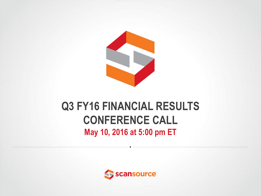

### **Q3 FY16 FINANCIAL RESULTS CONFERENCE CALL May 10, 2016 at 5:00 pm ET**

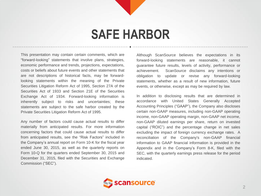## **SAFE HARBOR**

This presentation may contain certain comments, which are "forward-looking" statements that involve plans, strategies, economic performance and trends, projections, expectations, costs or beliefs about future events and other statements that are not descriptions of historical facts, may be forwardlooking statements within the meaning of the Private Securities Litigation Reform Act of 1995, Section 27A of the Securities Act of 1933 and Section 21E of the Securities Exchange Act of 1934. Forward-looking information is inherently subject to risks and uncertainties; these statements are subject to the safe harbor created by the Private Securities Litigation Reform Act of 1995.

Any number of factors could cause actual results to differ materially from anticipated results. For more information concerning factors that could cause actual results to differ from anticipated results, see the "Risk Factors" included in the Company's annual report on Form 10-K for the fiscal year ended June 30, 2015, as well as the quarterly reports on Form 10-Q for the quarters ended September 30, 2015 and December 31, 2015, filed with the Securities and Exchange Commission ("SEC").

Although ScanSource believes the expectations in its forward-looking statements are reasonable, it cannot guarantee future results, levels of activity, performance or achievement. ScanSource disclaims any intentions or obligation to update or revise any forward-looking statements, whether as a result of new information, future events, or otherwise, except as may be required by law.

In addition to disclosing results that are determined in accordance with United States Generally Accepted Accounting Principles ("GAAP"), the Company also discloses certain non-GAAP measures, including non-GAAP operating income, non-GAAP operating margin, non-GAAP net income, non-GAAP diluted earnings per share, return on invested capital ("ROIC") and the percentage change in net sales excluding the impact of foreign currency exchange rates. A reconciliation of the Company's non-GAAP financial information to GAAP financial information is provided in the Appendix and in the Company's Form 8-K, filed with the SEC, with the quarterly earnings press release for the period indicated.

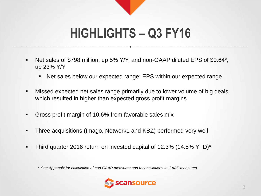## **HIGHLIGHTS – Q3 FY16**

- Net sales of \$798 million, up 5% Y/Y, and non-GAAP diluted EPS of \$0.64\*, up 23% Y/Y
	- Net sales below our expected range; EPS within our expected range
- Missed expected net sales range primarily due to lower volume of big deals, which resulted in higher than expected gross profit margins
- Gross profit margin of 10.6% from favorable sales mix
- Three acquisitions (Imago, Network1 and KBZ) performed very well
- Third quarter 2016 return on invested capital of 12.3% (14.5% YTD)\*

*\* See Appendix for calculation of non-GAAP measures and reconciliations to GAAP measures.* 

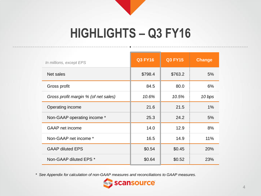## **HIGHLIGHTS – Q3 FY16**

| In millions, except EPS              | <b>Q3 FY16</b> | <b>Q3 FY15</b> | <b>Change</b> |
|--------------------------------------|----------------|----------------|---------------|
| Net sales                            | \$798.4        | \$763.2        | 5%            |
| Gross profit                         | 84.5           | 80.0           | 6%            |
| Gross profit margin % (of net sales) | 10.6%          | 10.5%          | 10 bps        |
| Operating income                     | 21.6           | 21.5           | $1\%$         |
| Non-GAAP operating income *          | 25.3           | 24.2           | 5%            |
| <b>GAAP</b> net income               | 14.0           | 12.9           | 8%            |
| Non-GAAP net income *                | 16.5           | 14.9           | 11%           |
| <b>GAAP diluted EPS</b>              | \$0.54         | \$0.45         | 20%           |
| Non-GAAP diluted EPS *               | \$0.64         | \$0.52         | 23%           |

*\* See Appendix for calculation of non-GAAP measures and reconciliations to GAAP measures.*

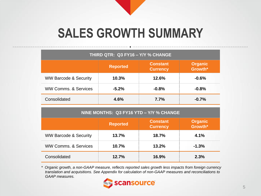## **SALES GROWTH SUMMARY**

| THIRD QTR: Q3 FY16 - Y/Y % CHANGE |                 |                                    |                           |  |  |  |  |  |
|-----------------------------------|-----------------|------------------------------------|---------------------------|--|--|--|--|--|
|                                   | <b>Reported</b> | <b>Constant</b><br><b>Currency</b> | <b>Organic</b><br>Growth* |  |  |  |  |  |
| <b>WW Barcode &amp; Security</b>  | 10.3%           | 12.6%                              | $-0.6%$                   |  |  |  |  |  |
| <b>WW Comms, &amp; Services</b>   | $-5.2%$         | $-0.8%$                            | $-0.8%$                   |  |  |  |  |  |
| Consolidated                      | 4.6%            | 7.7%                               | $-0.7%$                   |  |  |  |  |  |

| NINE MONTHS: Q3 FY16 YTD - Y/Y % CHANGE |                 |                                    |                           |  |  |  |  |  |  |
|-----------------------------------------|-----------------|------------------------------------|---------------------------|--|--|--|--|--|--|
|                                         | <b>Reported</b> | <b>Constant</b><br><b>Currency</b> | <b>Organic</b><br>Growth* |  |  |  |  |  |  |
| <b>WW Barcode &amp; Security</b>        | 13.7%           | 18.7%                              | 4.1%                      |  |  |  |  |  |  |
| <b>WW Comms, &amp; Services</b>         | 10.7%           | 13.2%                              | $-1.3%$                   |  |  |  |  |  |  |
| Consolidated                            | 12.7%           | 16.9%                              | 2.3%                      |  |  |  |  |  |  |

*\* Organic growth, a non-GAAP measure, reflects reported sales growth less impacts from foreign currency translation and acquisitions. See Appendix for calculation of non-GAAP measures and reconciliations to GAAP measures.*

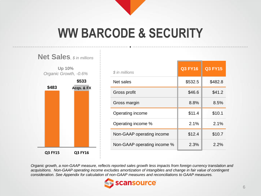## **WW BARCODE & SECURITY**



| \$ in millions              | Q3 FY16 | <b>Q3 FY15</b> |
|-----------------------------|---------|----------------|
| Net sales                   | \$532.5 | \$482.8        |
| Gross profit                | \$46.6  | \$41.2         |
| Gross margin                | 8.8%    | 8.5%           |
| Operating income            | \$11.4  | \$10.1         |
| Operating income %          | 2.1%    | 2.1%           |
| Non-GAAP operating income   | \$12.4  | \$10.7         |
| Non-GAAP operating income % | 2.3%    | 2.2%           |

*Organic growth, a non-GAAP measure, reflects reported sales growth less impacts from foreign currency translation and acquisitions. Non-GAAP operating income excludes amortization of intangibles and change in fair value of contingent consideration. See Appendix for calculation of non-GAAP measures and reconciliations to GAAP measures.*

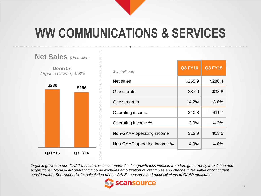## **WW COMMUNICATIONS & SERVICES**



| \$ in millions              | <b>Q3 FY16</b> | <b>Q3 FY15</b> |
|-----------------------------|----------------|----------------|
| Net sales                   | \$265.9        | \$280.4        |
| Gross profit                | \$37.9         | \$38.8         |
| Gross margin                | 14.2%          | 13.8%          |
| Operating income            | \$10.3         | \$11.7         |
| Operating income %          | 3.9%           | 4.2%           |
| Non-GAAP operating income   | \$12.9         | \$13.5         |
| Non-GAAP operating income % | 4.9%           | 4.8%           |

*Organic growth, a non-GAAP measure, reflects reported sales growth less impacts from foreign currency translation and acquisitions. Non-GAAP operating income excludes amortization of intangibles and change in fair value of contingent consideration. See Appendix for calculation of non-GAAP measures and reconciliations to GAAP measures.*

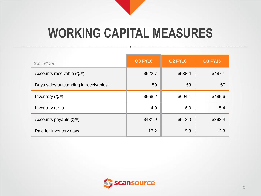## **WORKING CAPITAL MEASURES**

| \$ in millions                        | <b>Q3 FY16</b> | <b>Q2 FY16</b> | <b>Q3 FY15</b> |
|---------------------------------------|----------------|----------------|----------------|
| Accounts receivable (Q/E)             | \$522.7        | \$588.4        | \$487.1        |
| Days sales outstanding in receivables | 59             | 53             | 57             |
| Inventory (Q/E)                       | \$568.2        | \$604.1        | \$485.6        |
| Inventory turns                       | 4.9            | 6.0            | 5.4            |
| Accounts payable (Q/E)                | \$431.9        | \$512.0        | \$392.4        |
| Paid for inventory days               | 17.2           | 9.3            | 12.3           |

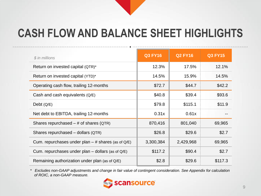### **CASH FLOW AND BALANCE SHEET HIGHLIGHTS**

| \$ in millions                                       | <b>Q3 FY16</b> | <b>Q2 FY16</b> | <b>Q3 FY15</b> |
|------------------------------------------------------|----------------|----------------|----------------|
| Return on invested capital (QTR)*                    | 12.3%          | 17.5%          | 12.1%          |
| Return on invested capital (YTD)*                    | 14.5%          | 15.9%          | 14.5%          |
| Operating cash flow, trailing 12-months              | \$72.7         | \$44.7         | \$42.2         |
| Cash and cash equivalents $(Q/E)$                    | \$40.8         | \$39.4         | \$93.6         |
| Debt $(Q/E)$                                         | \$79.8         | \$115.1        | \$11.9         |
| Net debt to EBITDA, trailing 12-months               | 0.31x          | 0.61x          |                |
| Shares repurchased $-$ # of shares (QTR)             | 870,416        | 801,040        | 69,965         |
| Shares repurchased - dollars (QTR)                   | \$26.8         | \$29.6         | \$2.7          |
| Cum. repurchases under plan $-$ # shares (as of Q/E) | 3,300,384      | 2,429,968      | 69,965         |
| Cum. repurchases under plan $-$ dollars (as of Q/E)  | \$117.2        | \$90.4         | \$2.7          |
| Remaining authorization under plan (as of Q/E)       | \$2.8          | \$29.6         | \$117.3        |

*\* Excludes non-GAAP adjustments and change in fair value of contingent consideration. See Appendix for calculation of ROIC, a non-GAAP measure.*

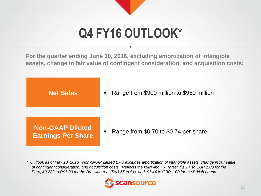# **Q4 FY16 OUTLOOK\***

**For the quarter ending June 30, 2016, excluding amortization of intangible assets, change in fair value of contingent consideration, and acquisition costs:**

**Net Sales**

Range from \$900 million to \$950 million

**Non-GAAP Diluted Earnings Per Share**

Range from \$0.70 to \$0.74 per share

*\* Outlook as of May 10, 2016. Non-GAAP diluted EPS excludes amortization of intangible assets, change in fair value of contingent consideration, and acquisition costs. Reflects the following FX rates: \$1.14 to EUR 1.00 for the Euro, \$0.282 to R\$1.00 for the Brazilian real (R\$3.55 to \$1), and \$1.44 to GBP 1.00 for the British pound.*

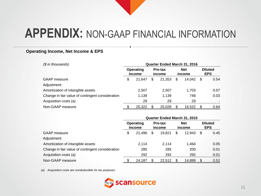### **Operating Income, Net Income & EPS**

| $$$ in thousands)                                | <b>Quarter Ended March 31, 2016</b> |                            |    |                   |    |                      |      |                              |  |
|--------------------------------------------------|-------------------------------------|----------------------------|----|-------------------|----|----------------------|------|------------------------------|--|
|                                                  |                                     | Operating<br><b>Income</b> |    | Pre-tax<br>income |    | <b>Net</b><br>income |      | <b>Diluted</b><br><b>EPS</b> |  |
| GAAP measure                                     | \$                                  | 21.647                     | \$ | 21.353            | \$ | 14.042               | - \$ | 0.54                         |  |
| Adjustment:                                      |                                     |                            |    |                   |    |                      |      |                              |  |
| Amortization of intangible assets                |                                     | 2,507                      |    | 2,507             |    | 1.703                |      | 0.07                         |  |
| Change in fair value of contingent consideration |                                     | 1,139                      |    | 1,139             |    | 748                  |      | 0.03                         |  |
| Acquisition costs (a)                            |                                     | 29                         |    | 29                |    | 29                   |      |                              |  |
| Non-GAAP measure                                 |                                     | 25,322                     |    | 25,028            |    | 16,522               |      | 0.64                         |  |

|                                                  | Quarter Ended March 31, 2015 |                            |   |                   |    |                      |    |                              |  |  |
|--------------------------------------------------|------------------------------|----------------------------|---|-------------------|----|----------------------|----|------------------------------|--|--|
|                                                  |                              | Operating<br><b>Income</b> |   | Pre-tax<br>income |    | <b>Net</b><br>income |    | <b>Diluted</b><br><b>EPS</b> |  |  |
| <b>GAAP</b> measure                              | \$                           | 21.496                     | S | 19.821            | \$ | 12.943               | \$ | 0.45                         |  |  |
| Adjustment:                                      |                              |                            |   |                   |    |                      |    |                              |  |  |
| Amortization of intangible assets                |                              | 2,114                      |   | 2,114             |    | 1.464                |    | 0.05                         |  |  |
| Change in fair value of contingent consideration |                              | 285                        |   | 285               |    | 200                  |    | 0.01                         |  |  |
| Acquisition costs (a)                            |                              | 292                        |   | 292               |    | 292                  |    | 0.01                         |  |  |
| Non-GAAP measure                                 |                              | 24,187                     |   | 22,512            |    | 14,899               | \$ | 0.52                         |  |  |

*(a) Acquisition costs are nondeductible for tax purposes.*

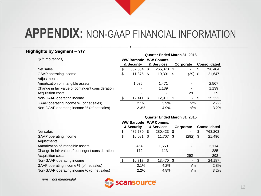### **Highlights by Segment – Y/Y**

|                                                  | <b>Quarter Ended March 31, 2016</b> |                                 |     |                                |      |           |    |                     |
|--------------------------------------------------|-------------------------------------|---------------------------------|-----|--------------------------------|------|-----------|----|---------------------|
| (\$ in thousands)                                |                                     | <b>WW Barcode</b><br>& Security |     | <b>WW Comms.</b><br>& Services |      | Corporate |    | <b>Consolidated</b> |
| Net sales                                        | S                                   | 532,534                         | S   | 265,870                        | - \$ | ٠         | \$ | 798,404             |
| GAAP operating income                            | \$                                  | 11,375                          | -\$ | 10,301                         | - \$ | $(29)$ \$ |    | 21,647              |
| Adjustments:                                     |                                     |                                 |     |                                |      |           |    |                     |
| Amortization of intangible assets                |                                     | 1,036                           |     | 1.471                          |      |           |    | 2,507               |
| Change in fair value of contingent consideration |                                     |                                 |     | 1,139                          |      |           |    | 1,139               |
| Acquisition costs                                |                                     |                                 |     |                                |      | 29        |    | 29                  |
| Non-GAAP operating income                        |                                     | 12,411                          |     | 12,911                         |      | ٠.        |    | 25,322              |
| GAAP operating income % (of net sales)           |                                     | 2.1%                            |     | 3.9%                           |      | n/m       |    | 2.7%                |
| Non-GAAP operating income % (of net sales)       |                                     | 2.3%                            |     | 4.9%                           |      | n/m       |    | 3.2%                |
|                                                  |                                     |                                 |     |                                |      |           |    |                     |

|                                                  | Quarter Ended March 31, 2015 |                       |    |                  |      |            |    |                     |  |
|--------------------------------------------------|------------------------------|-----------------------|----|------------------|------|------------|----|---------------------|--|
|                                                  |                              | <b>WW Barcode</b>     |    | <b>WW Comms.</b> |      |            |    |                     |  |
|                                                  |                              | & Security            |    | & Services       |      | Corporate  |    | <b>Consolidated</b> |  |
| Net sales                                        | \$                           | 482,780               | S  | 280,423          | - \$ | ۰          | \$ | 763,203             |  |
| GAAP operating income                            | \$                           | 10,081                | \$ | 11,707           | \$.  | $(292)$ \$ |    | 21,496              |  |
| Adjustments:                                     |                              |                       |    |                  |      |            |    |                     |  |
| Amortization of intangible assets                |                              | 464                   |    | 1,650            |      |            |    | 2,114               |  |
| Change in fair value of contingent consideration |                              | 172                   |    | 113              |      |            |    | 285                 |  |
| Acquisition costs                                |                              | $\tilde{\phantom{a}}$ |    |                  |      | 292        |    | 292                 |  |
| Non-GAAP operating income                        |                              | 10,717                |    | 13,470           |      |            |    | 24,187              |  |
| GAAP operating income % (of net sales)           |                              | 2.1%                  |    | 4.2%             |      | n/m        |    | 2.8%                |  |
| Non-GAAP operating income % (of net sales)       |                              | 2.2%                  |    | 4.8%             |      | n/m        |    | 3.2%                |  |

*n/m = not meaningful*

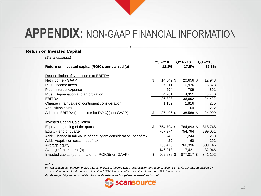#### **Return on Invested Capital**

*(\$ in thousands)*

|                                                                   | <b>Q3 FY16</b>   | <b>Q2 FY16</b> | Q3 FY15 |
|-------------------------------------------------------------------|------------------|----------------|---------|
| Return on invested capital (ROIC), annualized (a)                 | 12.3%            | 17.5%          | 12.1%   |
| Reconciliation of Net Income to EBITDA                            |                  |                |         |
| Net income - GAAP                                                 | \$<br>14,042 \$  | 20,656 \$      | 12,943  |
| Plus: Income taxes                                                | 7,311            | 10,976         | 6,878   |
| Plus: Interest expense                                            | 694              | 709            | 891     |
| Plus: Depreciation and amortization                               | 4,281            | 4,351          | 3,710   |
| <b>EBITDA</b>                                                     | 26,328           | 36,692         | 24,422  |
| Change in fair value of contingent consideration                  | 1,139            | 1,816          | 285     |
| Acquisition costs                                                 | 29               | 60             | 292     |
| Adjusted EBITDA (numerator for ROIC)(non-GAAP)                    | \$<br>27,496 \$  | 38,568 \$      | 24,999  |
| <b>Invested Capital Calculation</b>                               |                  |                |         |
| Equity - beginning of the quarter                                 | \$<br>754,794 \$ | 764,693 \$     | 818,748 |
| Equity - end of quarter                                           | 757,374          | 754,794        | 799,051 |
| Add: Change in fair value of contingent consideration, net of tax | 748              | 1,244          | 200     |
| Add: Acquisition costs, net of tax                                | 29               | 60             | 292     |
| Average equity                                                    | 756,473          | 760,396        | 809,146 |
| Average funded debt (b)                                           | 146,213          | 117,421        | 32,046  |
| Invested capital (denominator for ROIC)(non-GAAP)                 | 902,686 \$       | 877,817 \$     | 841,192 |

#### *Notes:*

*(a) Calculated as net income plus interest expense, income taxes, depreciation and amortization (EBITDA), annualized divided by invested capital for the period. Adjusted EBITDA reflects other adjustments for non-GAAP measures.*

*(b) Average daily amounts outstanding on short-term and long-term interest-bearing debt.*

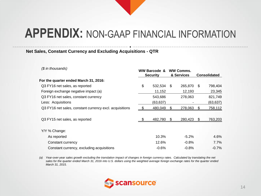### **Net Sales, Constant Currency and Excluding Acquisitions - QTR**

| (\$ in thousands)                                       | WW Barcode &<br><b>Security</b> |           | <b>WW Comms.</b><br>& Services |         | <b>Consolidated</b> |           |
|---------------------------------------------------------|---------------------------------|-----------|--------------------------------|---------|---------------------|-----------|
| For the quarter ended March 31, 2016:                   |                                 |           |                                |         |                     |           |
| Q3 FY16 net sales, as reported                          | \$                              | 532,534   | \$.                            | 265,870 | \$                  | 798,404   |
| Foreign exchange negative impact (a)                    |                                 | 11,152    |                                | 12,193  |                     | 23,345    |
| Q3 FY16 net sales, constant currency                    |                                 | 543,686   |                                | 278,063 |                     | 821,749   |
| Less: Acquisitions                                      |                                 | (63, 637) |                                |         |                     | (63, 637) |
| Q3 FY16 net sales, constant currency excl. acquisitions |                                 | 480,049   | \$.                            | 278,063 |                     | 758,112   |
| Q3 FY15 net sales, as reported                          |                                 | 482,780   | \$.                            | 280,423 | -S                  | 763,203   |
| Y/Y % Change:                                           |                                 |           |                                |         |                     |           |
| As reported                                             |                                 | 10.3%     |                                | $-5.2%$ |                     | 4.6%      |
| Constant currency                                       |                                 | 12.6%     |                                | $-0.8%$ |                     | $7.7\%$   |
| Constant currency, excluding acquisitions               |                                 | $-0.6%$   |                                | $-0.8%$ |                     | $-0.7%$   |

*(a) Year-over-year sales growth excluding the translation impact of changes in foreign currency rates. Calculated by translating the net sales for the quarter ended March 31, 2016 into U.S. dollars using the weighted average foreign exchange rates for the quarter ended March 31, 2015.*